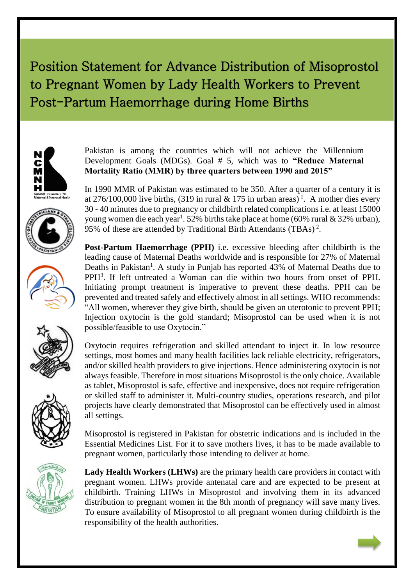## Position Statement for Advance Distribution of Misoprostol to Pregnant Women by Lady Health Workers to Prevent Post-Partum Haemorrhage during Home Births











Oxytocin requires refrigeration and skilled attendant to inject it. In low resource settings, most homes and many health facilities lack reliable electricity, refrigerators, and/or skilled health providers to give injections. Hence administering oxytocin is not always feasible. Therefore in most situations Misoprostol is the only choice. Available as tablet, Misoprostol is safe, effective and inexpensive, does not require refrigeration or skilled staff to administer it. Multi-country studies, operations research, and pilot projects have clearly demonstrated that Misoprostol can be effectively used in almost all settings.

Misoprostol is registered in Pakistan for obstetric indications and is included in the Essential Medicines List. For it to save mothers lives, it has to be made available to pregnant women, particularly those intending to deliver at home.



**Lady Health Workers (LHWs)** are the primary health care providers in contact with pregnant women. LHWs provide antenatal care and are expected to be present at childbirth. Training LHWs in Misoprostol and involving them in its advanced distribution to pregnant women in the 8th month of pregnancy will save many lives. To ensure availability of Misoprostol to all pregnant women during childbirth is the responsibility of the health authorities.

Pakistan is among the countries which will not achieve the Millennium Development Goals (MDGs). Goal # 5, which was to **"Reduce Maternal Mortality Ratio (MMR) by three quarters between 1990 and 2015"**

In 1990 MMR of Pakistan was estimated to be 350. After a quarter of a century it is at 276/100,000 live births, (319 in rural & 175 in urban areas)<sup>1</sup>. A mother dies every 30 - 40 minutes due to pregnancy or childbirth related complications i.e. at least 15000 young women die each year<sup>1</sup>. 52% births take place at home (60% rural & 32% urban), 95% of these are attended by Traditional Birth Attendants (TBAs)<sup>2</sup>.

**Post-Partum Haemorrhage (PPH)** i.e. excessive bleeding after childbirth is the leading cause of Maternal Deaths worldwide and is responsible for 27% of Maternal Deaths in Pakistan<sup>1</sup>. A study in Punjab has reported 43% of Maternal Deaths due to PPH<sup>3</sup>. If left untreated a Woman can die within two hours from onset of PPH. Initiating prompt treatment is imperative to prevent these deaths. PPH can be prevented and treated safely and effectively almost in all settings. WHO recommends: "All women, wherever they give birth, should be given an uterotonic to prevent PPH; Injection oxytocin is the gold standard; Misoprostol can be used when it is not possible/feasible to use Oxytocin."